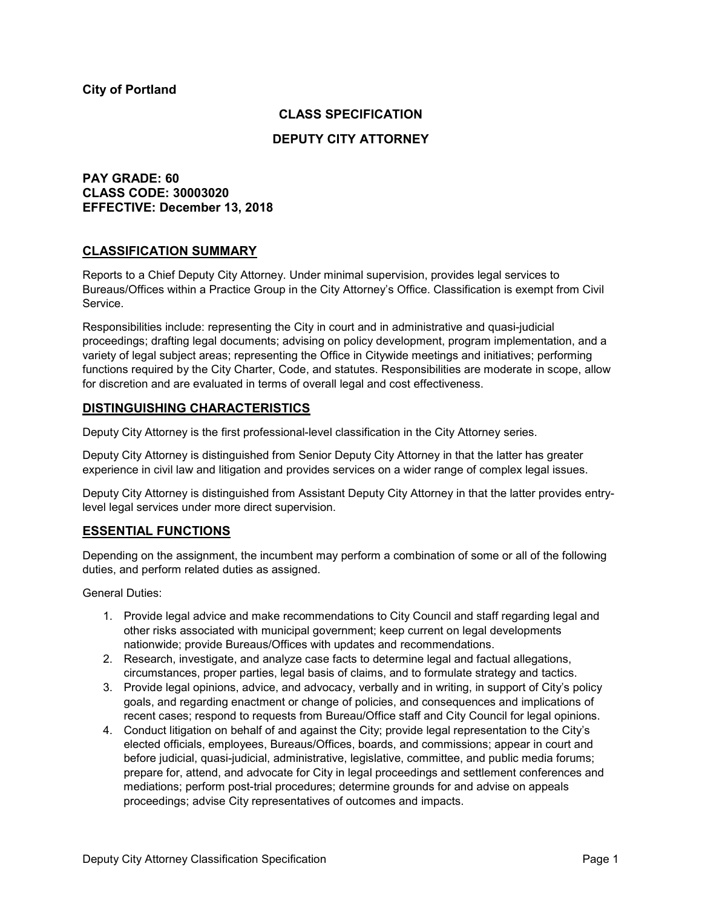### **CLASS SPECIFICATION**

### **DEPUTY CITY ATTORNEY**

## **PAY GRADE: 60 CLASS CODE: 30003020 EFFECTIVE: December 13, 2018**

### **CLASSIFICATION SUMMARY**

Reports to a Chief Deputy City Attorney. Under minimal supervision, provides legal services to Bureaus/Offices within a Practice Group in the City Attorney's Office. Classification is exempt from Civil Service.

Responsibilities include: representing the City in court and in administrative and quasi-judicial proceedings; drafting legal documents; advising on policy development, program implementation, and a variety of legal subject areas; representing the Office in Citywide meetings and initiatives; performing functions required by the City Charter, Code, and statutes. Responsibilities are moderate in scope, allow for discretion and are evaluated in terms of overall legal and cost effectiveness.

### **DISTINGUISHING CHARACTERISTICS**

Deputy City Attorney is the first professional-level classification in the City Attorney series.

Deputy City Attorney is distinguished from Senior Deputy City Attorney in that the latter has greater experience in civil law and litigation and provides services on a wider range of complex legal issues.

Deputy City Attorney is distinguished from Assistant Deputy City Attorney in that the latter provides entrylevel legal services under more direct supervision.

### **ESSENTIAL FUNCTIONS**

Depending on the assignment, the incumbent may perform a combination of some or all of the following duties, and perform related duties as assigned.

General Duties:

- 1. Provide legal advice and make recommendations to City Council and staff regarding legal and other risks associated with municipal government; keep current on legal developments nationwide; provide Bureaus/Offices with updates and recommendations.
- 2. Research, investigate, and analyze case facts to determine legal and factual allegations, circumstances, proper parties, legal basis of claims, and to formulate strategy and tactics.
- 3. Provide legal opinions, advice, and advocacy, verbally and in writing, in support of City's policy goals, and regarding enactment or change of policies, and consequences and implications of recent cases; respond to requests from Bureau/Office staff and City Council for legal opinions.
- 4. Conduct litigation on behalf of and against the City; provide legal representation to the City's elected officials, employees, Bureaus/Offices, boards, and commissions; appear in court and before judicial, quasi-judicial, administrative, legislative, committee, and public media forums; prepare for, attend, and advocate for City in legal proceedings and settlement conferences and mediations; perform post-trial procedures; determine grounds for and advise on appeals proceedings; advise City representatives of outcomes and impacts.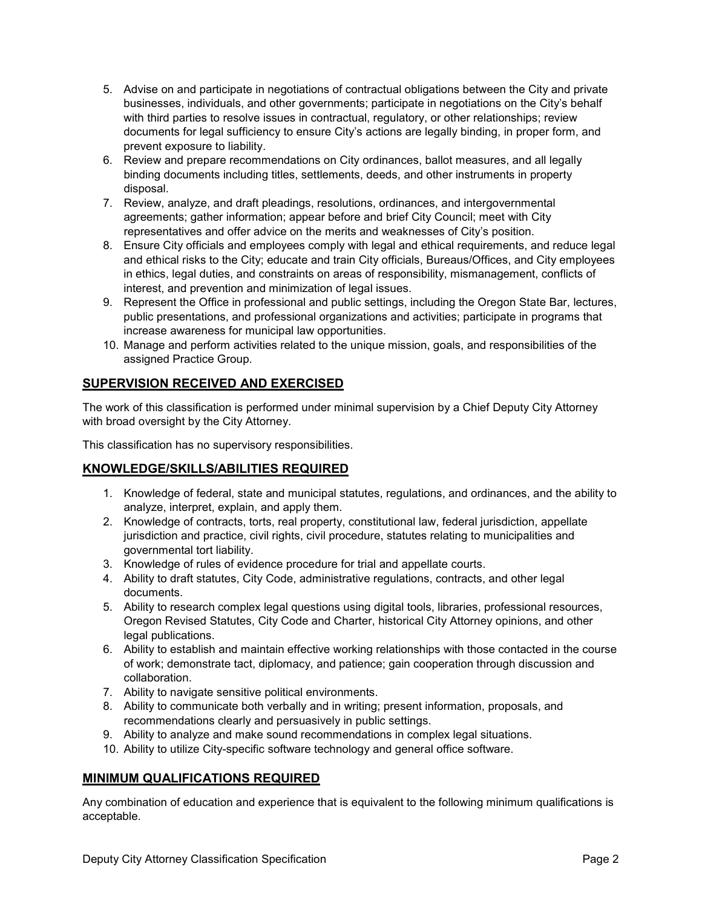- 5. Advise on and participate in negotiations of contractual obligations between the City and private businesses, individuals, and other governments; participate in negotiations on the City's behalf with third parties to resolve issues in contractual, regulatory, or other relationships; review documents for legal sufficiency to ensure City's actions are legally binding, in proper form, and prevent exposure to liability.
- 6. Review and prepare recommendations on City ordinances, ballot measures, and all legally binding documents including titles, settlements, deeds, and other instruments in property disposal.
- 7. Review, analyze, and draft pleadings, resolutions, ordinances, and intergovernmental agreements; gather information; appear before and brief City Council; meet with City representatives and offer advice on the merits and weaknesses of City's position.
- 8. Ensure City officials and employees comply with legal and ethical requirements, and reduce legal and ethical risks to the City; educate and train City officials, Bureaus/Offices, and City employees in ethics, legal duties, and constraints on areas of responsibility, mismanagement, conflicts of interest, and prevention and minimization of legal issues.
- 9. Represent the Office in professional and public settings, including the Oregon State Bar, lectures, public presentations, and professional organizations and activities; participate in programs that increase awareness for municipal law opportunities.
- 10. Manage and perform activities related to the unique mission, goals, and responsibilities of the assigned Practice Group.

# **SUPERVISION RECEIVED AND EXERCISED**

The work of this classification is performed under minimal supervision by a Chief Deputy City Attorney with broad oversight by the City Attorney.

This classification has no supervisory responsibilities.

## **KNOWLEDGE/SKILLS/ABILITIES REQUIRED**

- 1. Knowledge of federal, state and municipal statutes, regulations, and ordinances, and the ability to analyze, interpret, explain, and apply them.
- 2. Knowledge of contracts, torts, real property, constitutional law, federal jurisdiction, appellate jurisdiction and practice, civil rights, civil procedure, statutes relating to municipalities and governmental tort liability.
- 3. Knowledge of rules of evidence procedure for trial and appellate courts.
- 4. Ability to draft statutes, City Code, administrative regulations, contracts, and other legal documents.
- 5. Ability to research complex legal questions using digital tools, libraries, professional resources, Oregon Revised Statutes, City Code and Charter, historical City Attorney opinions, and other legal publications.
- 6. Ability to establish and maintain effective working relationships with those contacted in the course of work; demonstrate tact, diplomacy, and patience; gain cooperation through discussion and collaboration.
- 7. Ability to navigate sensitive political environments.
- 8. Ability to communicate both verbally and in writing; present information, proposals, and recommendations clearly and persuasively in public settings.
- 9. Ability to analyze and make sound recommendations in complex legal situations.
- 10. Ability to utilize City-specific software technology and general office software.

## **MINIMUM QUALIFICATIONS REQUIRED**

Any combination of education and experience that is equivalent to the following minimum qualifications is acceptable.